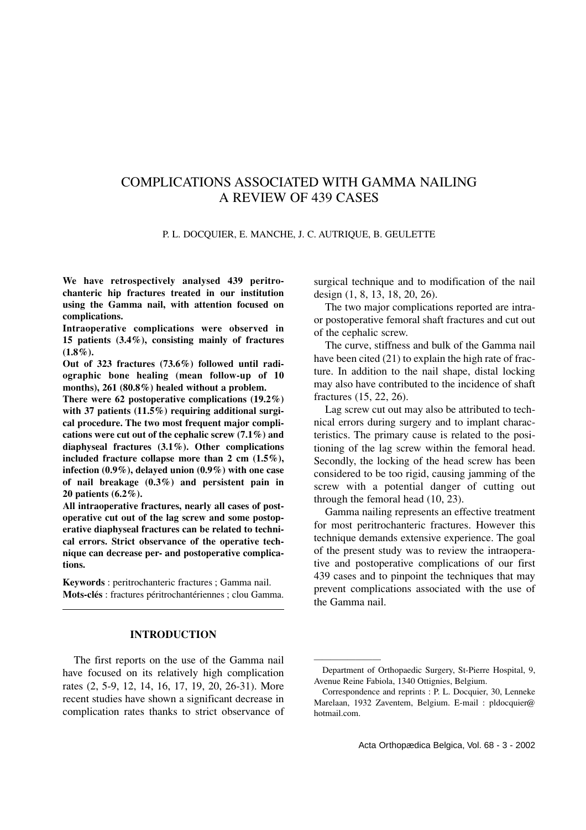# COMPLICATIONS ASSOCIATED WITH GAMMA NAILING A REVIEW OF 439 CASES

### P. L. DOCQUIER, E. MANCHE, J. C. AUTRIQUE, B. GEULETTE

**We have retrospectively analysed 439 peritrochanteric hip fractures treated in our institution using the Gamma nail, with attention focused on complications.** 

**Intraoperative complications were observed in 15 patients (3.4%), consisting mainly of fractures**  $(1.8\%)$ .

**Out of 323 fractures (73.6%) followed until radiographic bone healing (mean follow-up of 10 months), 261 (80.8%) healed without a problem.** 

**There were 62 postoperative complications (19.2%) with 37 patients (11.5%) requiring additional surgical procedure. The two most frequent major complications were cut out of the cephalic screw (7.1%) and diaphyseal fractures (3.1%). Other complications included fracture collapse more than 2 cm (1.5%), infection (0.9%), delayed union (0.9%) with one case of nail breakage (0.3%) and persistent pain in 20 patients (6.2%).**

**All intraoperative fractures, nearly all cases of postoperative cut out of the lag screw and some postoperative diaphyseal fractures can be related to technical errors. Strict observance of the operative technique can decrease per- and postoperative complications.**

**Keywords** : peritrochanteric fractures ; Gamma nail. **Mots-clés** : fractures péritrochantériennes ; clou Gamma.

# **INTRODUCTION**

The first reports on the use of the Gamma nail have focused on its relatively high complication rates (2, 5-9, 12, 14, 16, 17, 19, 20, 26-31). More recent studies have shown a significant decrease in complication rates thanks to strict observance of

surgical technique and to modification of the nail design (1, 8, 13, 18, 20, 26).

The two major complications reported are intraor postoperative femoral shaft fractures and cut out of the cephalic screw.

The curve, stiffness and bulk of the Gamma nail have been cited (21) to explain the high rate of fracture. In addition to the nail shape, distal locking may also have contributed to the incidence of shaft fractures (15, 22, 26).

Lag screw cut out may also be attributed to technical errors during surgery and to implant characteristics. The primary cause is related to the positioning of the lag screw within the femoral head. Secondly, the locking of the head screw has been considered to be too rigid, causing jamming of the screw with a potential danger of cutting out through the femoral head (10, 23).

Gamma nailing represents an effective treatment for most peritrochanteric fractures. However this technique demands extensive experience. The goal of the present study was to review the intraoperative and postoperative complications of our first 439 cases and to pinpoint the techniques that may prevent complications associated with the use of the Gamma nail.

————————

Department of Orthopaedic Surgery, St-Pierre Hospital, 9, Avenue Reine Fabiola, 1340 Ottignies, Belgium.

Correspondence and reprints : P. L. Docquier, 30, Lenneke Marelaan, 1932 Zaventem, Belgium. E-mail : pldocquier@ hotmail.com.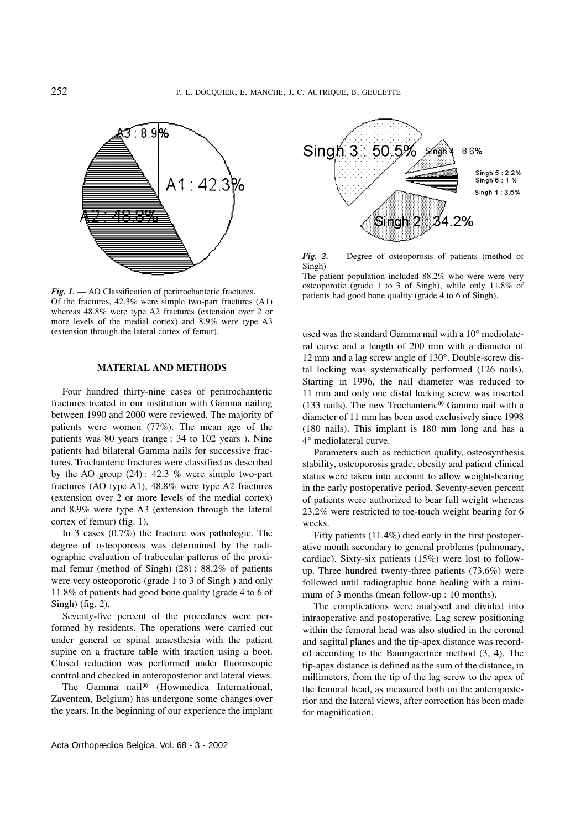

*Fig. 1.* — AO Classification of peritrochanteric fractures. Of the fractures, 42.3% were simple two-part fractures (A1) whereas 48.8% were type A2 fractures (extension over 2 or more levels of the medial cortex) and 8.9% were type A3 (extension through the lateral cortex of femur).

#### **MATERIAL AND METHODS**

Four hundred thirty-nine cases of peritrochanteric fractures treated in our institution with Gamma nailing between 1990 and 2000 were reviewed. The majority of patients were women (77%). The mean age of the patients was 80 years (range : 34 to 102 years ). Nine patients had bilateral Gamma nails for successive fractures. Trochanteric fractures were classified as described by the AO group  $(24)$ : 42.3 % were simple two-part fractures (AO type A1), 48.8% were type A2 fractures (extension over 2 or more levels of the medial cortex) and 8.9% were type A3 (extension through the lateral cortex of femur) (fig. 1).

In 3 cases (0.7%) the fracture was pathologic. The degree of osteoporosis was determined by the radiographic evaluation of trabecular patterns of the proximal femur (method of Singh) (28) : 88.2% of patients were very osteoporotic (grade 1 to 3 of Singh ) and only 11.8% of patients had good bone quality (grade 4 to 6 of Singh) (fig. 2).

Seventy-five percent of the procedures were performed by residents. The operations were carried out under general or spinal anaesthesia with the patient supine on a fracture table with traction using a boot. Closed reduction was performed under fluoroscopic control and checked in anteroposterior and lateral views.

The Gamma nail® (Howmedica International, Zaventem, Belgium) has undergone some changes over the years. In the beginning of our experience the implant



*Fig. 2.* — Degree of osteoporosis of patients (method of Singh)

The patient population included 88.2% who were were very osteoporotic (grade 1 to 3 of Singh), while only 11.8% of patients had good bone quality (grade 4 to 6 of Singh).

used was the standard Gamma nail with a 10° mediolateral curve and a length of 200 mm with a diameter of 12 mm and a lag screw angle of 130°. Double-screw distal locking was systematically performed (126 nails). Starting in 1996, the nail diameter was reduced to 11 mm and only one distal locking screw was inserted (133 nails). The new Trochanteric® Gamma nail with a diameter of 11 mm has been used exclusively since 1998 (180 nails). This implant is 180 mm long and has a 4° mediolateral curve.

Parameters such as reduction quality, osteosynthesis stability, osteoporosis grade, obesity and patient clinical status were taken into account to allow weight-bearing in the early postoperative period. Seventy-seven percent of patients were authorized to bear full weight whereas 23.2% were restricted to toe-touch weight bearing for 6 weeks.

Fifty patients (11.4%) died early in the first postoperative month secondary to general problems (pulmonary, cardiac). Sixty-six patients (15%) were lost to followup. Three hundred twenty-three patients (73.6%) were followed until radiographic bone healing with a minimum of 3 months (mean follow-up : 10 months).

The complications were analysed and divided into intraoperative and postoperative. Lag screw positioning within the femoral head was also studied in the coronal and sagittal planes and the tip-apex distance was recorded according to the Baumgaertner method (3, 4). The tip-apex distance is defined as the sum of the distance, in millimeters, from the tip of the lag screw to the apex of the femoral head, as measured both on the anteroposterior and the lateral views, after correction has been made for magnification.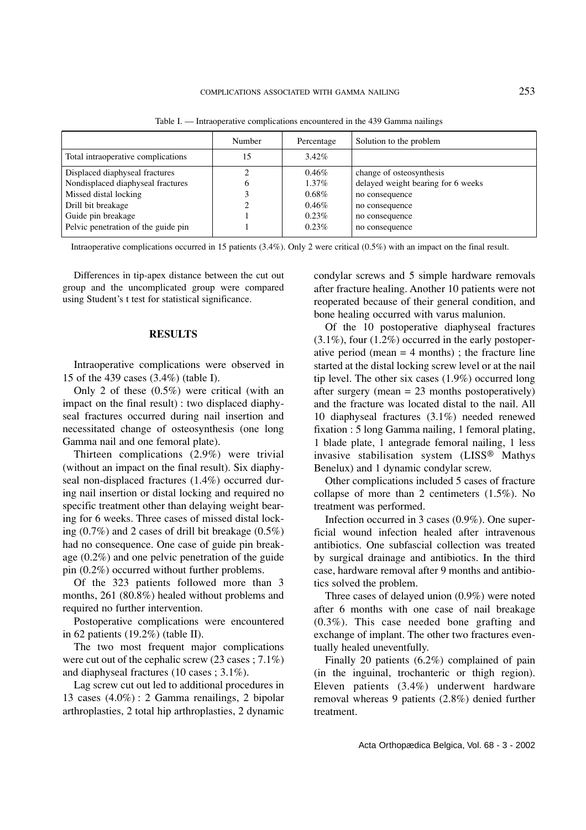| Number | Percentage | Solution to the problem            |
|--------|------------|------------------------------------|
|        | $3.42\%$   |                                    |
|        | $0.46\%$   | change of osteosynthesis           |
|        | $1.37\%$   | delayed weight bearing for 6 weeks |
|        | $0.68\%$   | no consequence                     |
|        | $0.46\%$   | no consequence                     |
|        | $0.23\%$   | no consequence                     |
|        | $0.23\%$   | no consequence                     |
|        |            |                                    |

Table I. — Intraoperative complications encountered in the 439 Gamma nailings

Intraoperative complications occurred in 15 patients (3.4%). Only 2 were critical (0.5%) with an impact on the final result.

Differences in tip-apex distance between the cut out group and the uncomplicated group were compared using Student's t test for statistical significance.

#### **RESULTS**

Intraoperative complications were observed in 15 of the 439 cases (3.4%) (table I).

Only 2 of these (0.5%) were critical (with an impact on the final result) : two displaced diaphyseal fractures occurred during nail insertion and necessitated change of osteosynthesis (one long Gamma nail and one femoral plate).

Thirteen complications (2.9%) were trivial (without an impact on the final result). Six diaphyseal non-displaced fractures (1.4%) occurred during nail insertion or distal locking and required no specific treatment other than delaying weight bearing for 6 weeks. Three cases of missed distal locking  $(0.7\%)$  and 2 cases of drill bit breakage  $(0.5\%)$ had no consequence. One case of guide pin breakage (0.2%) and one pelvic penetration of the guide pin (0.2%) occurred without further problems.

Of the 323 patients followed more than 3 months, 261 (80.8%) healed without problems and required no further intervention.

Postoperative complications were encountered in 62 patients (19.2%) (table II).

The two most frequent major complications were cut out of the cephalic screw (23 cases ; 7.1%) and diaphyseal fractures (10 cases ; 3.1%).

Lag screw cut out led to additional procedures in 13 cases (4.0%) : 2 Gamma renailings, 2 bipolar arthroplasties, 2 total hip arthroplasties, 2 dynamic condylar screws and 5 simple hardware removals after fracture healing. Another 10 patients were not reoperated because of their general condition, and bone healing occurred with varus malunion.

Of the 10 postoperative diaphyseal fractures  $(3.1\%)$ , four  $(1.2\%)$  occurred in the early postoperative period (mean  $=$  4 months); the fracture line started at the distal locking screw level or at the nail tip level. The other six cases (1.9%) occurred long after surgery (mean = 23 months postoperatively) and the fracture was located distal to the nail. All 10 diaphyseal fractures (3.1%) needed renewed fixation : 5 long Gamma nailing, 1 femoral plating, 1 blade plate, 1 antegrade femoral nailing, 1 less invasive stabilisation system (LISS® Mathys Benelux) and 1 dynamic condylar screw.

Other complications included 5 cases of fracture collapse of more than 2 centimeters (1.5%). No treatment was performed.

Infection occurred in 3 cases (0.9%). One superficial wound infection healed after intravenous antibiotics. One subfascial collection was treated by surgical drainage and antibiotics. In the third case, hardware removal after 9 months and antibiotics solved the problem.

Three cases of delayed union (0.9%) were noted after 6 months with one case of nail breakage (0.3%). This case needed bone grafting and exchange of implant. The other two fractures eventually healed uneventfully.

Finally 20 patients (6.2%) complained of pain (in the inguinal, trochanteric or thigh region). Eleven patients (3.4%) underwent hardware removal whereas 9 patients (2.8%) denied further treatment.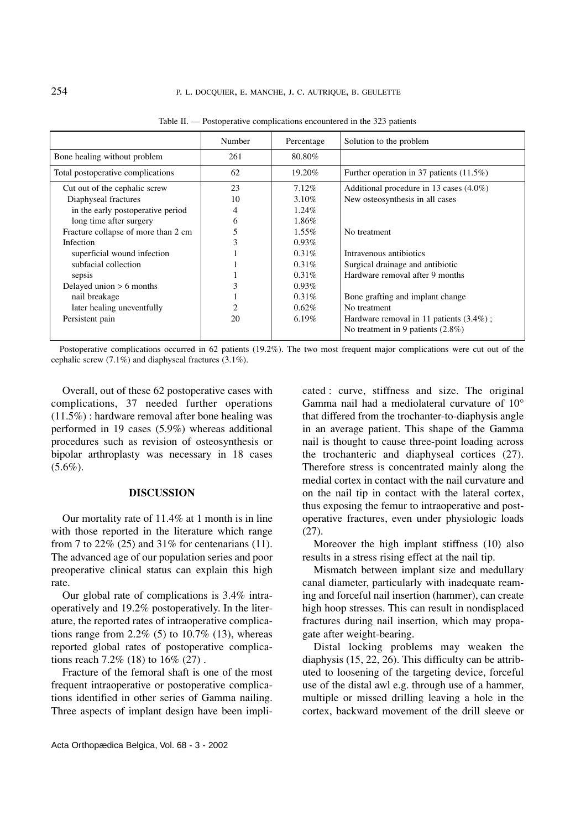|                                     | Number | Percentage | Solution to the problem                     |
|-------------------------------------|--------|------------|---------------------------------------------|
| Bone healing without problem        | 261    | 80.80%     |                                             |
| Total postoperative complications   | 62     | 19.20\%    | Further operation in 37 patients $(11.5\%)$ |
| Cut out of the cephalic screw       | 23     | 7.12%      | Additional procedure in 13 cases $(4.0\%)$  |
| Diaphyseal fractures                | 10     | $3.10\%$   | New osteosynthesis in all cases             |
| in the early postoperative period   | 4      | $1.24\%$   |                                             |
| long time after surgery             | h      | 1.86%      |                                             |
| Fracture collapse of more than 2 cm |        | $1.55\%$   | No treatment                                |
| Infection                           |        | $0.93\%$   |                                             |
| superficial wound infection         |        | $0.31\%$   | Intravenous antibiotics                     |
| subfacial collection                |        | $0.31\%$   | Surgical drainage and antibiotic            |
| sepsis                              |        | $0.31\%$   | Hardware removal after 9 months             |
| Delayed union $> 6$ months          |        | $0.93\%$   |                                             |
| nail breakage                       |        | $0.31\%$   | Bone grafting and implant change            |
| later healing uneventfully          |        | $0.62\%$   | No treatment                                |
| Persistent pain                     | 20     | $6.19\%$   | Hardware removal in 11 patients $(3.4\%)$ ; |
|                                     |        |            | No treatment in 9 patients (2.8%)           |

Table II. — Postoperative complications encountered in the 323 patients

Postoperative complications occurred in 62 patients (19.2%). The two most frequent major complications were cut out of the cephalic screw (7.1%) and diaphyseal fractures (3.1%).

Overall, out of these 62 postoperative cases with complications, 37 needed further operations (11.5%) : hardware removal after bone healing was performed in 19 cases (5.9%) whereas additional procedures such as revision of osteosynthesis or bipolar arthroplasty was necessary in 18 cases  $(5.6\%).$ 

#### **DISCUSSION**

Our mortality rate of 11.4% at 1 month is in line with those reported in the literature which range from 7 to  $22\%$  (25) and  $31\%$  for centenarians (11). The advanced age of our population series and poor preoperative clinical status can explain this high rate.

Our global rate of complications is 3.4% intraoperatively and 19.2% postoperatively. In the literature, the reported rates of intraoperative complications range from  $2.2\%$  (5) to  $10.7\%$  (13), whereas reported global rates of postoperative complications reach 7.2% (18) to 16% (27) .

Fracture of the femoral shaft is one of the most frequent intraoperative or postoperative complications identified in other series of Gamma nailing. Three aspects of implant design have been implicated : curve, stiffness and size. The original Gamma nail had a mediolateral curvature of 10° that differed from the trochanter-to-diaphysis angle in an average patient. This shape of the Gamma nail is thought to cause three-point loading across the trochanteric and diaphyseal cortices (27). Therefore stress is concentrated mainly along the medial cortex in contact with the nail curvature and on the nail tip in contact with the lateral cortex, thus exposing the femur to intraoperative and postoperative fractures, even under physiologic loads (27).

Moreover the high implant stiffness (10) also results in a stress rising effect at the nail tip.

Mismatch between implant size and medullary canal diameter, particularly with inadequate reaming and forceful nail insertion (hammer), can create high hoop stresses. This can result in nondisplaced fractures during nail insertion, which may propagate after weight-bearing.

Distal locking problems may weaken the diaphysis (15, 22, 26). This difficulty can be attributed to loosening of the targeting device, forceful use of the distal awl e.g. through use of a hammer, multiple or missed drilling leaving a hole in the cortex, backward movement of the drill sleeve or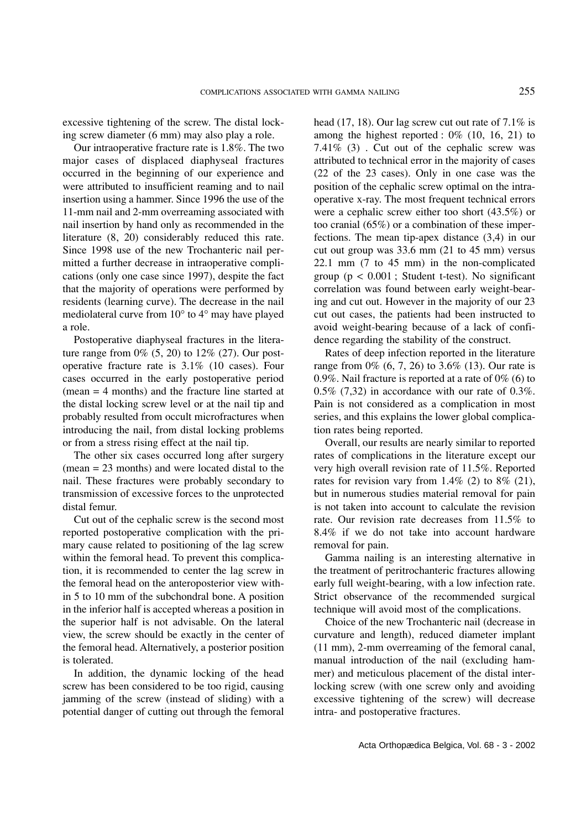excessive tightening of the screw. The distal locking screw diameter (6 mm) may also play a role.

Our intraoperative fracture rate is 1.8%. The two major cases of displaced diaphyseal fractures occurred in the beginning of our experience and were attributed to insufficient reaming and to nail insertion using a hammer. Since 1996 the use of the 11-mm nail and 2-mm overreaming associated with nail insertion by hand only as recommended in the literature (8, 20) considerably reduced this rate. Since 1998 use of the new Trochanteric nail permitted a further decrease in intraoperative complications (only one case since 1997), despite the fact that the majority of operations were performed by residents (learning curve). The decrease in the nail mediolateral curve from 10° to 4° may have played a role.

Postoperative diaphyseal fractures in the literature range from  $0\%$  (5, 20) to 12\% (27). Our postoperative fracture rate is 3.1% (10 cases). Four cases occurred in the early postoperative period (mean = 4 months) and the fracture line started at the distal locking screw level or at the nail tip and probably resulted from occult microfractures when introducing the nail, from distal locking problems or from a stress rising effect at the nail tip.

The other six cases occurred long after surgery (mean = 23 months) and were located distal to the nail. These fractures were probably secondary to transmission of excessive forces to the unprotected distal femur.

Cut out of the cephalic screw is the second most reported postoperative complication with the primary cause related to positioning of the lag screw within the femoral head. To prevent this complication, it is recommended to center the lag screw in the femoral head on the anteroposterior view within 5 to 10 mm of the subchondral bone. A position in the inferior half is accepted whereas a position in the superior half is not advisable. On the lateral view, the screw should be exactly in the center of the femoral head. Alternatively, a posterior position is tolerated.

In addition, the dynamic locking of the head screw has been considered to be too rigid, causing jamming of the screw (instead of sliding) with a potential danger of cutting out through the femoral head (17, 18). Our lag screw cut out rate of 7.1% is among the highest reported : 0% (10, 16, 21) to 7.41% (3) . Cut out of the cephalic screw was attributed to technical error in the majority of cases (22 of the 23 cases). Only in one case was the position of the cephalic screw optimal on the intraoperative x-ray. The most frequent technical errors were a cephalic screw either too short (43.5%) or too cranial (65%) or a combination of these imperfections. The mean tip-apex distance (3,4) in our cut out group was 33.6 mm (21 to 45 mm) versus 22.1 mm (7 to 45 mm) in the non-complicated group ( $p < 0.001$ ; Student t-test). No significant correlation was found between early weight-bearing and cut out. However in the majority of our 23 cut out cases, the patients had been instructed to avoid weight-bearing because of a lack of confidence regarding the stability of the construct.

Rates of deep infection reported in the literature range from 0% (6, 7, 26) to 3.6% (13). Our rate is 0.9%. Nail fracture is reported at a rate of 0% (6) to  $0.5\%$  (7,32) in accordance with our rate of  $0.3\%$ . Pain is not considered as a complication in most series, and this explains the lower global complication rates being reported.

Overall, our results are nearly similar to reported rates of complications in the literature except our very high overall revision rate of 11.5%. Reported rates for revision vary from  $1.4\%$  (2) to  $8\%$  (21), but in numerous studies material removal for pain is not taken into account to calculate the revision rate. Our revision rate decreases from 11.5% to 8.4% if we do not take into account hardware removal for pain.

Gamma nailing is an interesting alternative in the treatment of peritrochanteric fractures allowing early full weight-bearing, with a low infection rate. Strict observance of the recommended surgical technique will avoid most of the complications.

Choice of the new Trochanteric nail (decrease in curvature and length), reduced diameter implant (11 mm), 2-mm overreaming of the femoral canal, manual introduction of the nail (excluding hammer) and meticulous placement of the distal interlocking screw (with one screw only and avoiding excessive tightening of the screw) will decrease intra- and postoperative fractures.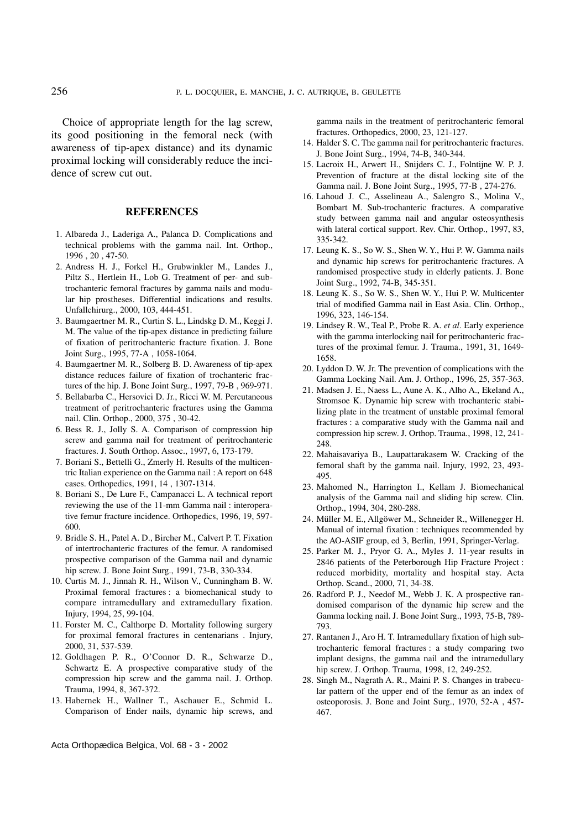Choice of appropriate length for the lag screw, its good positioning in the femoral neck (with awareness of tip-apex distance) and its dynamic proximal locking will considerably reduce the incidence of screw cut out.

# **REFERENCES**

- 1. Albareda J., Laderiga A., Palanca D. Complications and technical problems with the gamma nail. Int. Orthop., 1996 , 20 , 47-50.
- 2. Andress H. J., Forkel H., Grubwinkler M., Landes J., Piltz S., Hertlein H., Lob G. Treatment of per- and subtrochanteric femoral fractures by gamma nails and modular hip prostheses. Differential indications and results. Unfallchirurg., 2000, 103, 444-451.
- 3. Baumgaertner M. R., Curtin S. L., Lindskg D. M., Keggi J. M. The value of the tip-apex distance in predicting failure of fixation of peritrochanteric fracture fixation. J. Bone Joint Surg., 1995, 77-A , 1058-1064.
- 4. Baumgaertner M. R., Solberg B. D. Awareness of tip-apex distance reduces failure of fixation of trochanteric fractures of the hip. J. Bone Joint Surg., 1997, 79-B , 969-971.
- 5. Bellabarba C., Hersovici D. Jr., Ricci W. M. Percutaneous treatment of peritrochanteric fractures using the Gamma nail. Clin. Orthop., 2000, 375 , 30-42.
- 6. Bess R. J., Jolly S. A. Comparison of compression hip screw and gamma nail for treatment of peritrochanteric fractures. J. South Orthop. Assoc., 1997, 6, 173-179.
- 7. Boriani S., Bettelli G., Zmerly H. Results of the multicentric Italian experience on the Gamma nail : A report on 648 cases. Orthopedics, 1991, 14 , 1307-1314.
- 8. Boriani S., De Lure F., Campanacci L. A technical report reviewing the use of the 11-mm Gamma nail : interoperative femur fracture incidence. Orthopedics, 1996, 19, 597- 600.
- 9. Bridle S. H., Patel A. D., Bircher M., Calvert P. T. Fixation of intertrochanteric fractures of the femur. A randomised prospective comparison of the Gamma nail and dynamic hip screw. J. Bone Joint Surg., 1991, 73-B, 330-334.
- 10. Curtis M. J., Jinnah R. H., Wilson V., Cunningham B. W. Proximal femoral fractures : a biomechanical study to compare intramedullary and extramedullary fixation. Injury, 1994, 25, 99-104.
- 11. Forster M. C., Calthorpe D. Mortality following surgery for proximal femoral fractures in centenarians . Injury, 2000, 31, 537-539.
- 12. Goldhagen P. R., O'Connor D. R., Schwarze D., Schwartz E. A prospective comparative study of the compression hip screw and the gamma nail. J. Orthop. Trauma, 1994, 8, 367-372.
- 13. Habernek H., Wallner T., Aschauer E., Schmid L. Comparison of Ender nails, dynamic hip screws, and

gamma nails in the treatment of peritrochanteric femoral fractures. Orthopedics, 2000, 23, 121-127.

- 14. Halder S. C. The gamma nail for peritrochanteric fractures. J. Bone Joint Surg., 1994, 74-B, 340-344.
- 15. Lacroix H., Arwert H., Snijders C. J., Folntijne W. P. J. Prevention of fracture at the distal locking site of the Gamma nail. J. Bone Joint Surg., 1995, 77-B , 274-276.
- 16. Lahoud J. C., Asselineau A., Salengro S., Molina V., Bombart M. Sub-trochanteric fractures. A comparative study between gamma nail and angular osteosynthesis with lateral cortical support. Rev. Chir. Orthop., 1997, 83, 335-342.
- 17. Leung K. S., So W. S., Shen W. Y., Hui P. W. Gamma nails and dynamic hip screws for peritrochanteric fractures. A randomised prospective study in elderly patients. J. Bone Joint Surg., 1992, 74-B, 345-351.
- 18. Leung K. S., So W. S., Shen W. Y., Hui P. W. Multicenter trial of modified Gamma nail in East Asia. Clin. Orthop., 1996, 323, 146-154.
- 19. Lindsey R. W., Teal P., Probe R. A. *et al.* Early experience with the gamma interlocking nail for peritrochanteric fractures of the proximal femur. J. Trauma., 1991, 31, 1649- 1658.
- 20. Lyddon D. W. Jr. The prevention of complications with the Gamma Locking Nail. Am. J. Orthop., 1996, 25, 357-363.
- 21. Madsen J. E., Naess L., Aune A. K., Alho A., Ekeland A., Stromsoe K. Dynamic hip screw with trochanteric stabilizing plate in the treatment of unstable proximal femoral fractures : a comparative study with the Gamma nail and compression hip screw. J. Orthop. Trauma., 1998, 12, 241- 248.
- 22. Mahaisavariya B., Laupattarakasem W. Cracking of the femoral shaft by the gamma nail. Injury, 1992, 23, 493- 495.
- 23. Mahomed N., Harrington I., Kellam J. Biomechanical analysis of the Gamma nail and sliding hip screw. Clin. Orthop., 1994, 304, 280-288.
- 24. Müller M. E., Allgöwer M., Schneider R., Willenegger H. Manual of internal fixation : techniques recommended by the AO-ASIF group, ed 3, Berlin, 1991, Springer-Verlag.
- 25. Parker M. J., Pryor G. A., Myles J. 11-year results in 2846 patients of the Peterborough Hip Fracture Project : reduced morbidity, mortality and hospital stay. Acta Orthop. Scand., 2000, 71, 34-38.
- 26. Radford P. J., Needof M., Webb J. K. A prospective randomised comparison of the dynamic hip screw and the Gamma locking nail. J. Bone Joint Surg., 1993, 75-B, 789- 793.
- 27. Rantanen J., Aro H. T. Intramedullary fixation of high subtrochanteric femoral fractures : a study comparing two implant designs, the gamma nail and the intramedullary hip screw. J. Orthop. Trauma, 1998, 12, 249-252.
- 28. Singh M., Nagrath A. R., Maini P. S. Changes in trabecular pattern of the upper end of the femur as an index of osteoporosis. J. Bone and Joint Surg., 1970, 52-A , 457- 467.

Acta Orthopædica Belgica, Vol. 68 - 3 - 2002